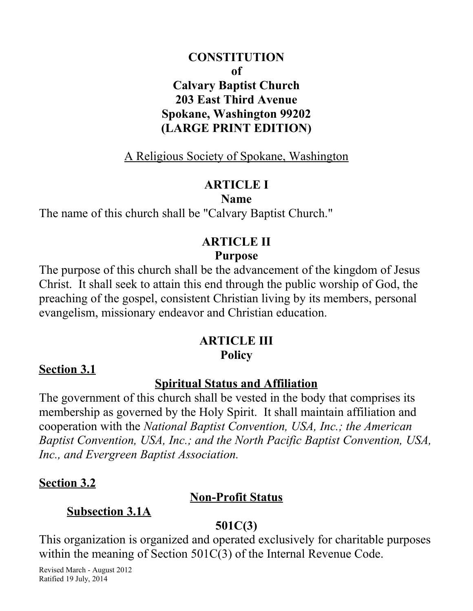### **CONSTITUTION of Calvary Baptist Church 203 East Third Avenue Spokane, Washington 99202 (LARGE PRINT EDITION)**

A Religious Society of Spokane, Washington

#### **ARTICLE I**

#### **Name**

The name of this church shall be "Calvary Baptist Church."

# **ARTICLE II Purpose**

The purpose of this church shall be the advancement of the kingdom of Jesus Christ. It shall seek to attain this end through the public worship of God, the preaching of the gospel, consistent Christian living by its members, personal evangelism, missionary endeavor and Christian education.

#### **ARTICLE III Policy**

#### **Section 3.1**

#### **Spiritual Status and Affiliation**

The government of this church shall be vested in the body that comprises its membership as governed by the Holy Spirit. It shall maintain affiliation and cooperation with the *National Baptist Convention, USA, Inc.; the American Baptist Convention, USA, Inc.; and the North Pacific Baptist Convention, USA, Inc., and Evergreen Baptist Association.*

#### **Section 3.2**

#### **Non-Profit Status**

### **Subsection 3.1A**

#### **501C(3)**

This organization is organized and operated exclusively for charitable purposes within the meaning of Section 501C(3) of the Internal Revenue Code.

Revised March - August 2012 Ratified 19 July, 2014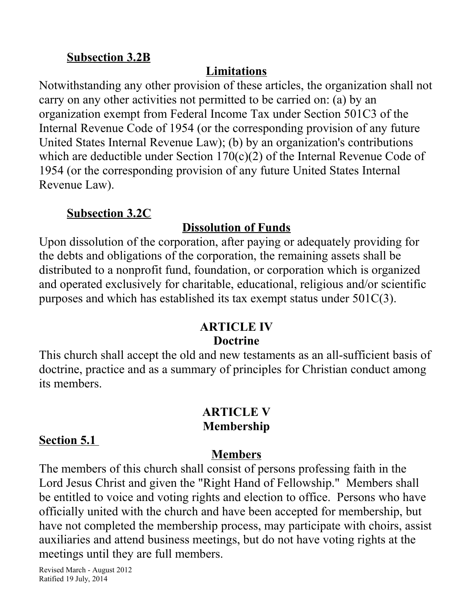#### **Subsection 3.2B**

### **Limitations**

Notwithstanding any other provision of these articles, the organization shall not carry on any other activities not permitted to be carried on: (a) by an organization exempt from Federal Income Tax under Section 501C3 of the Internal Revenue Code of 1954 (or the corresponding provision of any future United States Internal Revenue Law); (b) by an organization's contributions which are deductible under Section 170(c)(2) of the Internal Revenue Code of 1954 (or the corresponding provision of any future United States Internal Revenue Law).

#### **Subsection 3.2C**

#### **Dissolution of Funds**

Upon dissolution of the corporation, after paying or adequately providing for the debts and obligations of the corporation, the remaining assets shall be distributed to a nonprofit fund, foundation, or corporation which is organized and operated exclusively for charitable, educational, religious and/or scientific purposes and which has established its tax exempt status under 501C(3).

#### **ARTICLE IV Doctrine**

This church shall accept the old and new testaments as an all-sufficient basis of doctrine, practice and as a summary of principles for Christian conduct among its members.

### **ARTICLE V Membership**

### **Section 5.1**

### **Members**

The members of this church shall consist of persons professing faith in the Lord Jesus Christ and given the "Right Hand of Fellowship." Members shall be entitled to voice and voting rights and election to office. Persons who have officially united with the church and have been accepted for membership, but have not completed the membership process, may participate with choirs, assist auxiliaries and attend business meetings, but do not have voting rights at the meetings until they are full members.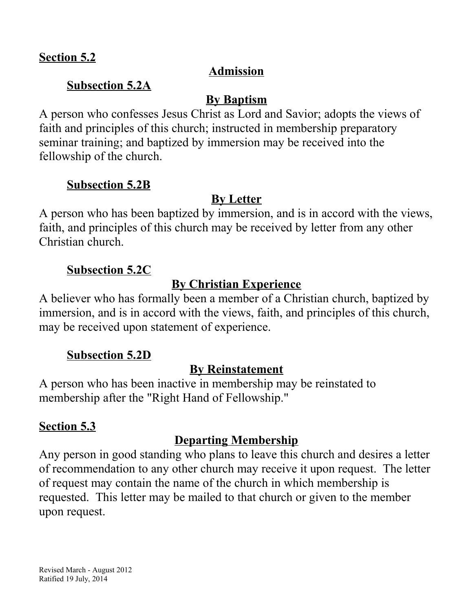#### **Section 5.2**

#### **Admission**

#### **Subsection 5.2A**

#### **By Baptism**

A person who confesses Jesus Christ as Lord and Savior; adopts the views of faith and principles of this church; instructed in membership preparatory seminar training; and baptized by immersion may be received into the fellowship of the church.

#### **Subsection 5.2B**

### **By Letter**

A person who has been baptized by immersion, and is in accord with the views, faith, and principles of this church may be received by letter from any other Christian church.

#### **Subsection 5.2C**

### **By Christian Experience**

A believer who has formally been a member of a Christian church, baptized by immersion, and is in accord with the views, faith, and principles of this church, may be received upon statement of experience.

#### **Subsection 5.2D**

#### **By Reinstatement**

A person who has been inactive in membership may be reinstated to membership after the "Right Hand of Fellowship."

### **Section 5.3**

### **Departing Membership**

Any person in good standing who plans to leave this church and desires a letter of recommendation to any other church may receive it upon request. The letter of request may contain the name of the church in which membership is requested. This letter may be mailed to that church or given to the member upon request.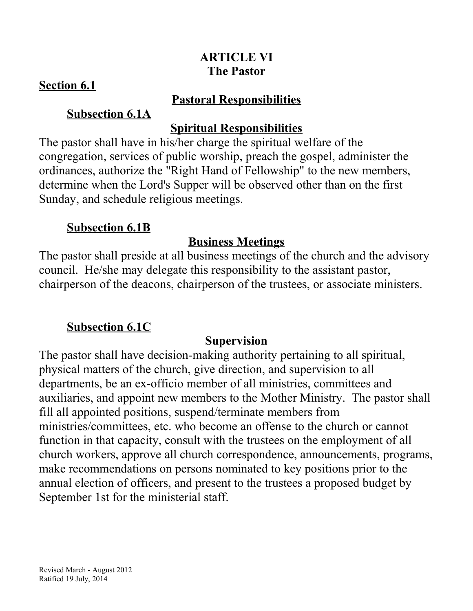### **ARTICLE VI The Pastor**

#### **Section 6.1**

#### **Pastoral Responsibilities**

### **Subsection 6.1A**

### **Spiritual Responsibilities**

The pastor shall have in his/her charge the spiritual welfare of the congregation, services of public worship, preach the gospel, administer the ordinances, authorize the "Right Hand of Fellowship" to the new members, determine when the Lord's Supper will be observed other than on the first Sunday, and schedule religious meetings.

### **Subsection 6.1B**

# **Business Meetings**

The pastor shall preside at all business meetings of the church and the advisory council. He/she may delegate this responsibility to the assistant pastor, chairperson of the deacons, chairperson of the trustees, or associate ministers.

# **Subsection 6.1C**

# **Supervision**

The pastor shall have decision-making authority pertaining to all spiritual, physical matters of the church, give direction, and supervision to all departments, be an ex-officio member of all ministries, committees and auxiliaries, and appoint new members to the Mother Ministry. The pastor shall fill all appointed positions, suspend/terminate members from ministries/committees, etc. who become an offense to the church or cannot function in that capacity, consult with the trustees on the employment of all church workers, approve all church correspondence, announcements, programs, make recommendations on persons nominated to key positions prior to the annual election of officers, and present to the trustees a proposed budget by September 1st for the ministerial staff.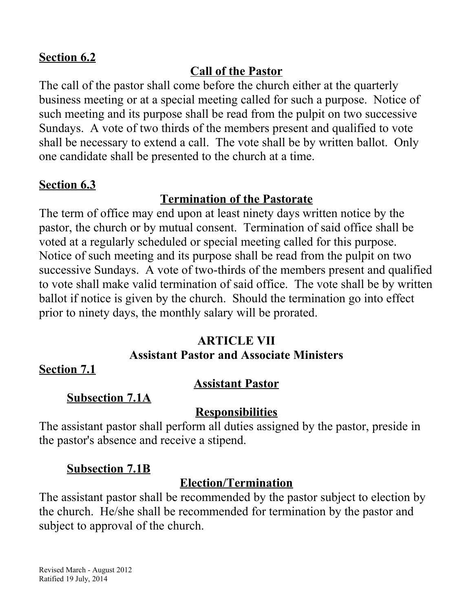#### **Section 6.2**

### **Call of the Pastor**

The call of the pastor shall come before the church either at the quarterly business meeting or at a special meeting called for such a purpose. Notice of such meeting and its purpose shall be read from the pulpit on two successive Sundays. A vote of two thirds of the members present and qualified to vote shall be necessary to extend a call. The vote shall be by written ballot. Only one candidate shall be presented to the church at a time.

#### **Section 6.3**

### **Termination of the Pastorate**

The term of office may end upon at least ninety days written notice by the pastor, the church or by mutual consent. Termination of said office shall be voted at a regularly scheduled or special meeting called for this purpose. Notice of such meeting and its purpose shall be read from the pulpit on two successive Sundays. A vote of two-thirds of the members present and qualified to vote shall make valid termination of said office. The vote shall be by written ballot if notice is given by the church. Should the termination go into effect prior to ninety days, the monthly salary will be prorated.

#### **ARTICLE VII**

#### **Assistant Pastor and Associate Ministers**

**Section 7.1**

### **Assistant Pastor**

**Subsection 7.1A**

#### **Responsibilities**

The assistant pastor shall perform all duties assigned by the pastor, preside in the pastor's absence and receive a stipend.

#### **Subsection 7.1B**

### **Election/Termination**

The assistant pastor shall be recommended by the pastor subject to election by the church. He/she shall be recommended for termination by the pastor and subject to approval of the church.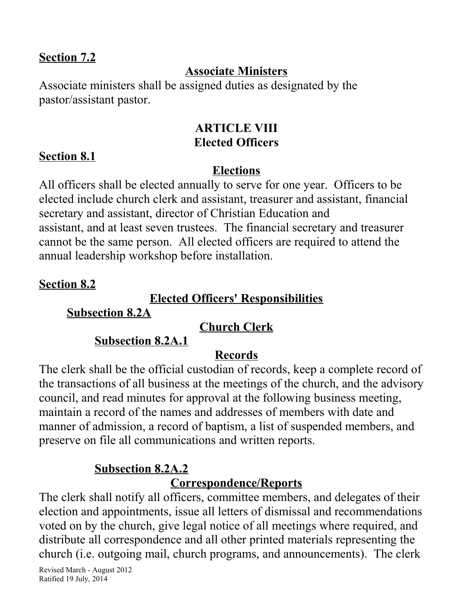#### **Section 7.2**

### **Associate Ministers**

Associate ministers shall be assigned duties as designated by the pastor/assistant pastor.

#### **ARTICLE VIII Elected Officers**

#### **Section 8.1**

#### **Elections**

All officers shall be elected annually to serve for one year. Officers to be elected include church clerk and assistant, treasurer and assistant, financial secretary and assistant, director of Christian Education and assistant, and at least seven trustees. The financial secretary and treasurer cannot be the same person. All elected officers are required to attend the annual leadership workshop before installation.

#### **Section 8.2**

#### **Elected Officers' Responsibilities**

**Subsection 8.2A**

### **Church Clerk**

### **Subsection 8.2A. 1**

### **Records**

The clerk shall be the official custodian of records, keep a complete record of the transactions of all business at the meetings of the church, and the advisory council, and read minutes for approval at the following business meeting, maintain a record of the names and addresses of members with date and manner of admission, a record of baptism, a list of suspended members, and preserve on file all communications and written reports.

### **Subsection 8.2A.2**

### **Correspondence/Reports**

The clerk shall notify all officers, committee members, and delegates of their election and appointments, issue all letters of dismissal and recommendations voted on by the church, give legal notice of all meetings where required, and distribute all correspondence and all other printed materials representing the church (i.e. outgoing mail, church programs, and announcements). The clerk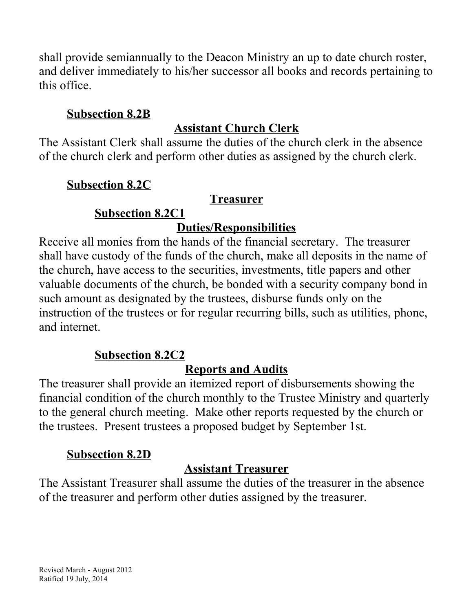shall provide semiannually to the Deacon Ministry an up to date church roster, and deliver immediately to his/her successor all books and records pertaining to this office.

### **Subsection 8.2B**

# **Assistant Church Clerk**

The Assistant Clerk shall assume the duties of the church clerk in the absence of the church clerk and perform other duties as assigned by the church clerk.

### **Subsection 8.2C**

### **Treasurer**

# **Subsection 8.2C1**

## **Duties/Responsibilities**

Receive all monies from the hands of the financial secretary. The treasurer shall have custody of the funds of the church, make all deposits in the name of the church, have access to the securities, investments, title papers and other valuable documents of the church, be bonded with a security company bond in such amount as designated by the trustees, disburse funds only on the instruction of the trustees or for regular recurring bills, such as utilities, phone, and internet.

# **Subsection 8.2C2**

# **Reports and Audits**

The treasurer shall provide an itemized report of disbursements showing the financial condition of the church monthly to the Trustee Ministry and quarterly to the general church meeting. Make other reports requested by the church or the trustees. Present trustees a proposed budget by September 1st.

# **Subsection 8.2D**

# **Assistant Treasurer**

The Assistant Treasurer shall assume the duties of the treasurer in the absence of the treasurer and perform other duties assigned by the treasurer.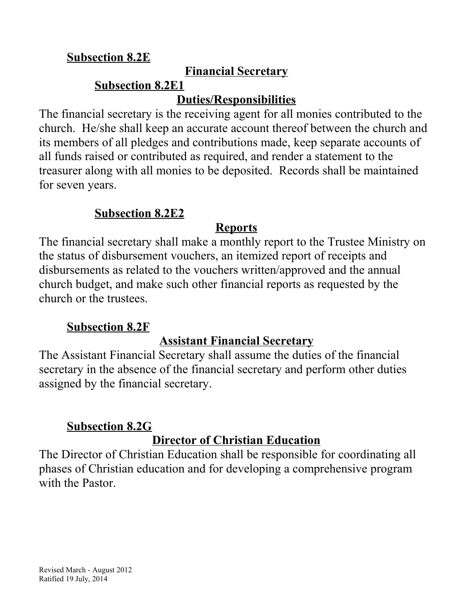### **Subsection 8.2E**

### **Financial Secretary**

#### **Subsection 8.2E1 Duties/Responsibilities**

### The financial secretary is the receiving agent for all monies contributed to the church. He/she shall keep an accurate account thereof between the church and its members of all pledges and contributions made, keep separate accounts of all funds raised or contributed as required, and render a statement to the treasurer along with all monies to be deposited. Records shall be maintained for seven years.

### **Subsection 8.2E2**

### **Reports**

The financial secretary shall make a monthly report to the Trustee Ministry on the status of disbursement vouchers, an itemized report of receipts and disbursements as related to the vouchers written/approved and the annual church budget, and make such other financial reports as requested by the church or the trustees.

### **Subsection 8.2F**

# **Assistant Financial Secretary**

The Assistant Financial Secretary shall assume the duties of the financial secretary in the absence of the financial secretary and perform other duties assigned by the financial secretary.

### **Subsection 8.2G**

# **Director of Christian Education**

The Director of Christian Education shall be responsible for coordinating all phases of Christian education and for developing a comprehensive program with the Pastor.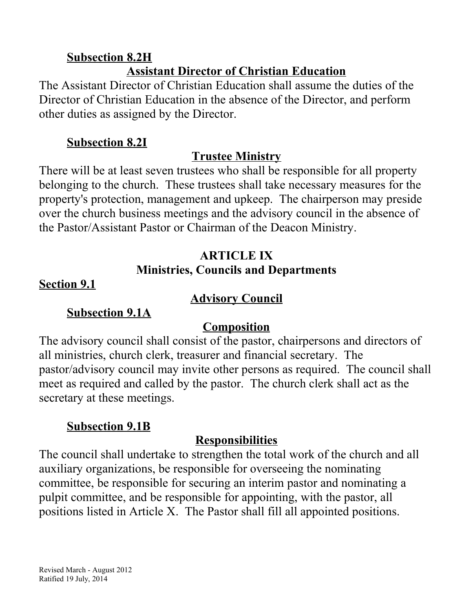#### **Subsection 8.2H Assistant Director of Christian Education**

The Assistant Director of Christian Education shall assume the duties of the Director of Christian Education in the absence of the Director, and perform other duties as assigned by the Director.

### **Subsection 8.2I**

# **Trustee Ministry**

There will be at least seven trustees who shall be responsible for all property belonging to the church. These trustees shall take necessary measures for the property's protection, management and upkeep. The chairperson may preside over the church business meetings and the advisory council in the absence of the Pastor/Assistant Pastor or Chairman of the Deacon Ministry.

### **ARTICLE IX Ministries, Councils and Departments**

### **Section 9.1**

### **Advisory Council**

### **Subsection 9.1A**

# **Composition**

The advisory council shall consist of the pastor, chairpersons and directors of all ministries, church clerk, treasurer and financial secretary. The pastor/advisory council may invite other persons as required. The council shall meet as required and called by the pastor. The church clerk shall act as the secretary at these meetings.

# **Subsection 9.1B**

# **Responsibilities**

The council shall undertake to strengthen the total work of the church and all auxiliary organizations, be responsible for overseeing the nominating committee, be responsible for securing an interim pastor and nominating a pulpit committee, and be responsible for appointing, with the pastor, all positions listed in Article X. The Pastor shall fill all appointed positions.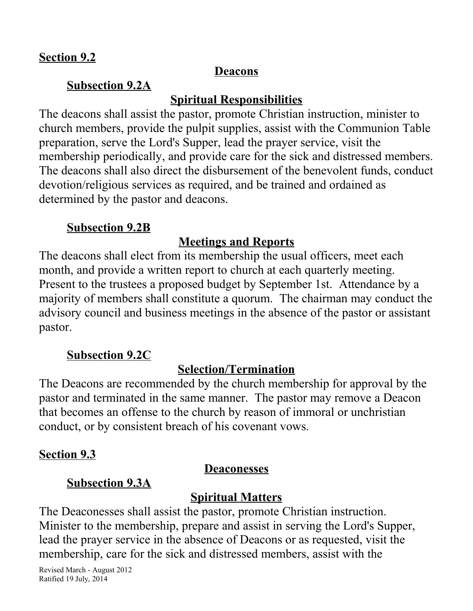#### **Deacons**

#### **Subsection 9.2A**

### **Spiritual Responsibilities**

The deacons shall assist the pastor, promote Christian instruction, minister to church members, provide the pulpit supplies, assist with the Communion Table preparation, serve the Lord's Supper, lead the prayer service, visit the membership periodically, and provide care for the sick and distressed members. The deacons shall also direct the disbursement of the benevolent funds, conduct devotion/religious services as required, and be trained and ordained as determined by the pastor and deacons.

#### **Subsection 9.2B**

### **Meetings and Reports**

The deacons shall elect from its membership the usual officers, meet each month, and provide a written report to church at each quarterly meeting. Present to the trustees a proposed budget by September 1st. Attendance by a majority of members shall constitute a quorum. The chairman may conduct the advisory council and business meetings in the absence of the pastor or assistant pastor.

### **Subsection 9.2C**

### **Selection/Termination**

The Deacons are recommended by the church membership for approval by the pastor and terminated in the same manner. The pastor may remove a Deacon that becomes an offense to the church by reason of immoral or unchristian conduct, or by consistent breach of his covenant vows.

### **Section 9.3**

#### **Deaconesses**

### **Subsection 9.3A**

### **Spiritual Matters**

The Deaconesses shall assist the pastor, promote Christian instruction. Minister to the membership, prepare and assist in serving the Lord's Supper, lead the prayer service in the absence of Deacons or as requested, visit the membership, care for the sick and distressed members, assist with the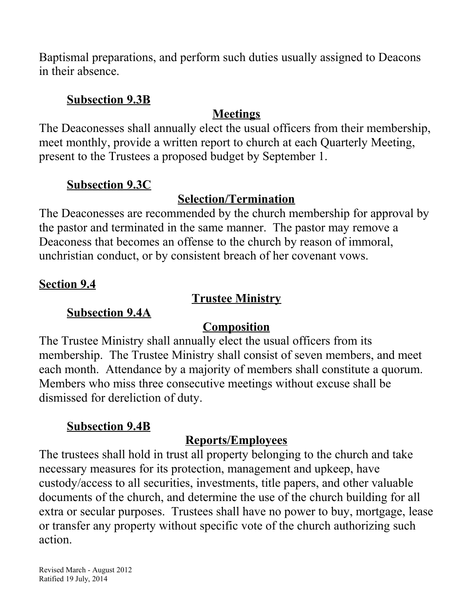Baptismal preparations, and perform such duties usually assigned to Deacons in their absence.

#### **Subsection 9.3B**

# **Meetings**

The Deaconesses shall annually elect the usual officers from their membership, meet monthly, provide a written report to church at each Quarterly Meeting, present to the Trustees a proposed budget by September 1.

## **Subsection 9.3C**

# **Selection/Termination**

The Deaconesses are recommended by the church membership for approval by the pastor and terminated in the same manner. The pastor may remove a Deaconess that becomes an offense to the church by reason of immoral, unchristian conduct, or by consistent breach of her covenant vows.

### **Section 9.4**

### **Trustee Ministry**

### **Subsection 9.4A**

# **Composition**

The Trustee Ministry shall annually elect the usual officers from its membership. The Trustee Ministry shall consist of seven members, and meet each month. Attendance by a majority of members shall constitute a quorum. Members who miss three consecutive meetings without excuse shall be dismissed for dereliction of duty.

### **Subsection 9.4B**

# **Reports/Employees**

The trustees shall hold in trust all property belonging to the church and take necessary measures for its protection, management and upkeep, have custody/access to all securities, investments, title papers, and other valuable documents of the church, and determine the use of the church building for all extra or secular purposes. Trustees shall have no power to buy, mortgage, lease or transfer any property without specific vote of the church authorizing such action.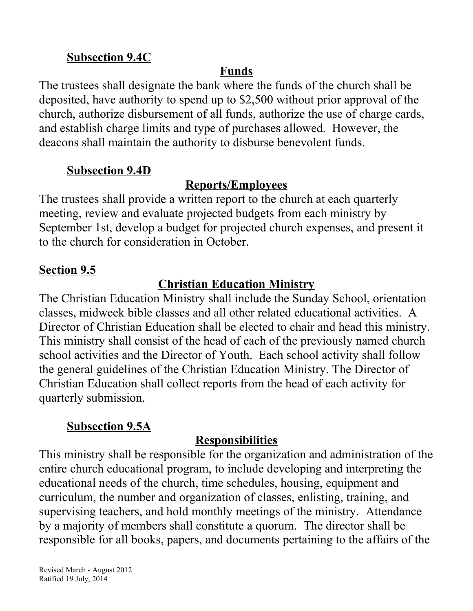### **Subsection 9.4C**

# **Funds**

The trustees shall designate the bank where the funds of the church shall be deposited, have authority to spend up to \$2,500 without prior approval of the church, authorize disbursement of all funds, authorize the use of charge cards, and establish charge limits and type of purchases allowed. However, the deacons shall maintain the authority to disburse benevolent funds.

### **Subsection 9.4D**

## **Reports/Employees**

The trustees shall provide a written report to the church at each quarterly meeting, review and evaluate projected budgets from each ministry by September 1st, develop a budget for projected church expenses, and present it to the church for consideration in October.

### **Section 9.5**

## **Christian Education Ministry**

The Christian Education Ministry shall include the Sunday School, orientation classes, midweek bible classes and all other related educational activities. A Director of Christian Education shall be elected to chair and head this ministry. This ministry shall consist of the head of each of the previously named church school activities and the Director of Youth. Each school activity shall follow the general guidelines of the Christian Education Ministry. The Director of Christian Education shall collect reports from the head of each activity for quarterly submission.

### **Subsection 9.5A**

### **Responsibilities**

This ministry shall be responsible for the organization and administration of the entire church educational program, to include developing and interpreting the educational needs of the church, time schedules, housing, equipment and curriculum, the number and organization of classes, enlisting, training, and supervising teachers, and hold monthly meetings of the ministry. Attendance by a majority of members shall constitute a quorum. The director shall be responsible for all books, papers, and documents pertaining to the affairs of the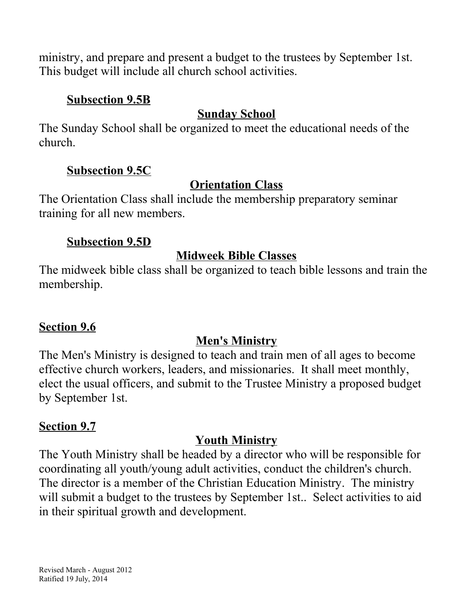ministry, and prepare and present a budget to the trustees by September 1st. This budget will include all church school activities.

#### **Subsection 9.5B**

# **Sunday School**

The Sunday School shall be organized to meet the educational needs of the church.

### **Subsection 9.5C**

### **Orientation Class**

The Orientation Class shall include the membership preparatory seminar training for all new members.

### **Subsection 9.5D**

## **Midweek Bible Classes**

The midweek bible class shall be organized to teach bible lessons and train the membership.

### **Section 9.6**

# **Men's Ministry**

The Men's Ministry is designed to teach and train men of all ages to become effective church workers, leaders, and missionaries. It shall meet monthly, elect the usual officers, and submit to the Trustee Ministry a proposed budget by September 1st.

# **Section 9.7**

# **Youth Ministry**

The Youth Ministry shall be headed by a director who will be responsible for coordinating all youth/young adult activities, conduct the children's church. The director is a member of the Christian Education Ministry. The ministry will submit a budget to the trustees by September 1st.. Select activities to aid in their spiritual growth and development.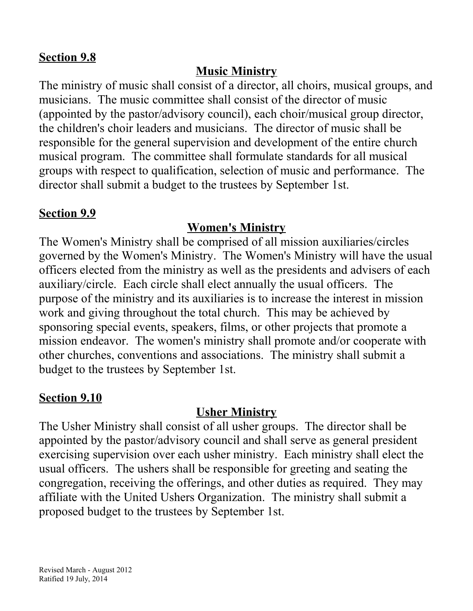#### **Section 9.8**

### **Music Ministry**

The ministry of music shall consist of a director, all choirs, musical groups, and musicians. The music committee shall consist of the director of music (appointed by the pastor/advisory council), each choir/musical group director, the children's choir leaders and musicians. The director of music shall be responsible for the general supervision and development of the entire church musical program. The committee shall formulate standards for all musical groups with respect to qualification, selection of music and performance. The director shall submit a budget to the trustees by September 1st.

### **Section 9.9**

#### **Women's Ministry**

The Women's Ministry shall be comprised of all mission auxiliaries/circles governed by the Women's Ministry. The Women's Ministry will have the usual officers elected from the ministry as well as the presidents and advisers of each auxiliary/circle. Each circle shall elect annually the usual officers. The purpose of the ministry and its auxiliaries is to increase the interest in mission work and giving throughout the total church. This may be achieved by sponsoring special events, speakers, films, or other projects that promote a mission endeavor. The women's ministry shall promote and/or cooperate with other churches, conventions and associations. The ministry shall submit a budget to the trustees by September 1st.

#### **Section 9.10**

### **Usher Ministry**

The Usher Ministry shall consist of all usher groups. The director shall be appointed by the pastor/advisory council and shall serve as general president exercising supervision over each usher ministry. Each ministry shall elect the usual officers. The ushers shall be responsible for greeting and seating the congregation, receiving the offerings, and other duties as required. They may affiliate with the United Ushers Organization. The ministry shall submit a proposed budget to the trustees by September 1st.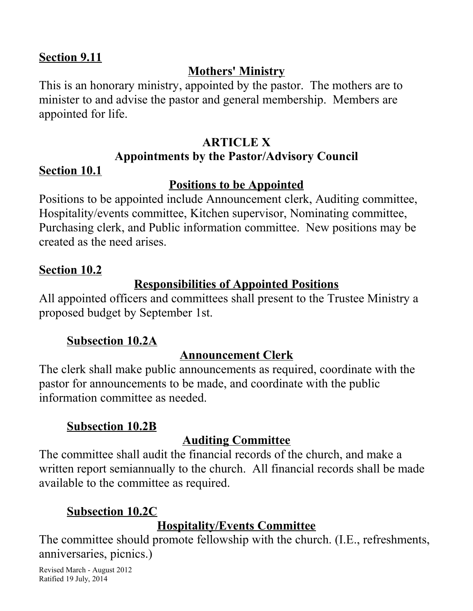#### **Section 9.11**

### **Mothers' Ministry**

This is an honorary ministry, appointed by the pastor. The mothers are to minister to and advise the pastor and general membership. Members are appointed for life.

# **ARTICLE X Appointments by the Pastor/Advisory Council**

### **Section 10.1**

### **Positions to be Appointed**

Positions to be appointed include Announcement clerk, Auditing committee, Hospitality/events committee, Kitchen supervisor, Nominating committee, Purchasing clerk, and Public information committee. New positions may be created as the need arises.

### **Section 10.2**

### **Responsibilities of Appointed Positions**

All appointed officers and committees shall present to the Trustee Ministry a proposed budget by September 1st.

### **Subsection 10.2A**

# **Announcement Clerk**

The clerk shall make public announcements as required, coordinate with the pastor for announcements to be made, and coordinate with the public information committee as needed.

### **Subsection 10.2B**

# **Auditing Committee**

The committee shall audit the financial records of the church, and make a written report semiannually to the church. All financial records shall be made available to the committee as required.

# **Subsection 10.2C**

# **Hospitality/Events Committee**

The committee should promote fellowship with the church. (I.E., refreshments, anniversaries, picnics.)

Revised March - August 2012 Ratified 19 July, 2014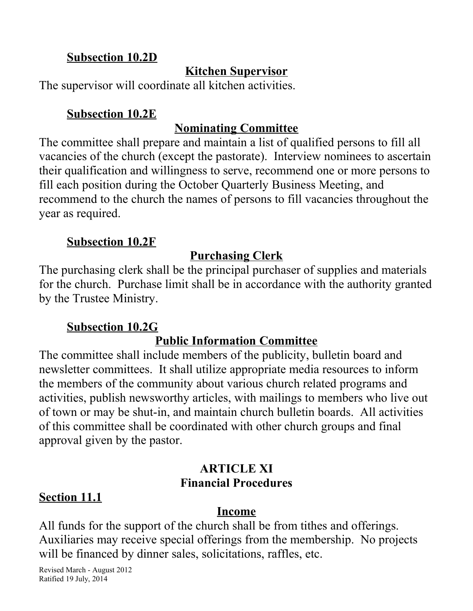### **Subsection 10.2D**

### **Kitchen Supervisor**

The supervisor will coordinate all kitchen activities.

#### **Subsection 10.2E**

#### **Nominating Committee**

The committee shall prepare and maintain a list of qualified persons to fill all vacancies of the church (except the pastorate). Interview nominees to ascertain their qualification and willingness to serve, recommend one or more persons to fill each position during the October Quarterly Business Meeting, and recommend to the church the names of persons to fill vacancies throughout the year as required.

#### **Subsection 10.2F**

### **Purchasing Clerk**

The purchasing clerk shall be the principal purchaser of supplies and materials for the church. Purchase limit shall be in accordance with the authority granted by the Trustee Ministry.

### **Subsection 10.2G**

### **Public Information Committee**

The committee shall include members of the publicity, bulletin board and newsletter committees. It shall utilize appropriate media resources to inform the members of the community about various church related programs and activities, publish newsworthy articles, with mailings to members who live out of town or may be shut-in, and maintain church bulletin boards. All activities of this committee shall be coordinated with other church groups and final approval given by the pastor.

#### **ARTICLE XI Financial Procedures**

### **Section 11.1**

#### **Income**

All funds for the support of the church shall be from tithes and offerings. Auxiliaries may receive special offerings from the membership. No projects will be financed by dinner sales, solicitations, raffles, etc.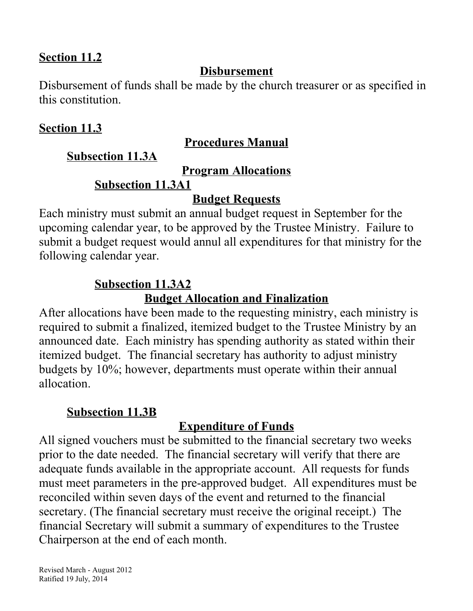#### **Section 11.2**

#### **Disbursement**

Disbursement of funds shall be made by the church treasurer or as specified in this constitution.

#### **Section 11.3**

#### **Procedures Manual**

**Subsection 11.3A**

**Program Allocations**

#### **Subsection 11.3A1**

#### **Budget Requests**

Each ministry must submit an annual budget request in September for the upcoming calendar year, to be approved by the Trustee Ministry. Failure to submit a budget request would annul all expenditures for that ministry for the following calendar year.

#### **Subsection 11.3A2**

#### **Budget Allocation and Finalization**

After allocations have been made to the requesting ministry, each ministry is required to submit a finalized, itemized budget to the Trustee Ministry by an announced date. Each ministry has spending authority as stated within their itemized budget. The financial secretary has authority to adjust ministry budgets by 10%; however, departments must operate within their annual allocation.

#### **Subsection 11.3B**

### **Expenditure of Funds**

All signed vouchers must be submitted to the financial secretary two weeks prior to the date needed. The financial secretary will verify that there are adequate funds available in the appropriate account. All requests for funds must meet parameters in the pre-approved budget. All expenditures must be reconciled within seven days of the event and returned to the financial secretary. (The financial secretary must receive the original receipt.) The financial Secretary will submit a summary of expenditures to the Trustee Chairperson at the end of each month.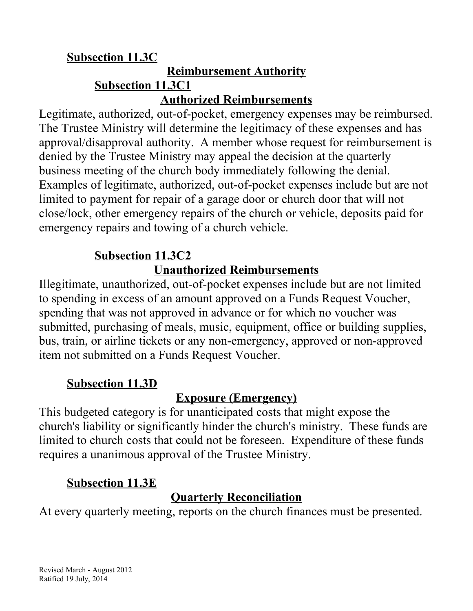#### **Subsection 11.3C Reimbursement Authority Subsection 11.3C1 Authorized Reimbursements**

Legitimate, authorized, out-of-pocket, emergency expenses may be reimbursed. The Trustee Ministry will determine the legitimacy of these expenses and has approval/disapproval authority. A member whose request for reimbursement is denied by the Trustee Ministry may appeal the decision at the quarterly business meeting of the church body immediately following the denial. Examples of legitimate, authorized, out-of-pocket expenses include but are not limited to payment for repair of a garage door or church door that will not close/lock, other emergency repairs of the church or vehicle, deposits paid for emergency repairs and towing of a church vehicle.

# **Subsection 11.3C2**

# **Unauthorized Reimbursements**

Illegitimate, unauthorized, out-of-pocket expenses include but are not limited to spending in excess of an amount approved on a Funds Request Voucher, spending that was not approved in advance or for which no voucher was submitted, purchasing of meals, music, equipment, office or building supplies, bus, train, or airline tickets or any non-emergency, approved or non-approved item not submitted on a Funds Request Voucher.

### **Subsection 11.3D**

# **Exposure (Emergency)**

This budgeted category is for unanticipated costs that might expose the church's liability or significantly hinder the church's ministry. These funds are limited to church costs that could not be foreseen. Expenditure of these funds requires a unanimous approval of the Trustee Ministry.

# **Subsection 11.3E**

# **Quarterly Reconciliation**

At every quarterly meeting, reports on the church finances must be presented.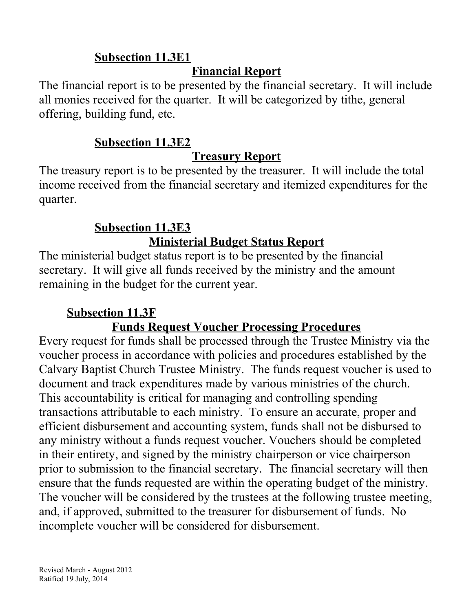### **Subsection 11.3E1**

### **Financial Report**

The financial report is to be presented by the financial secretary. It will include all monies received for the quarter. It will be categorized by tithe, general offering, building fund, etc.

### **Subsection 11.3E2**

## **Treasury Report**

The treasury report is to be presented by the treasurer. It will include the total income received from the financial secretary and itemized expenditures for the quarter.

# **Subsection 11.3E3 Ministerial Budget Status Report**

The ministerial budget status report is to be presented by the financial secretary. It will give all funds received by the ministry and the amount remaining in the budget for the current year.

# **Subsection 11.3F**

# **Funds Request Voucher Processing Procedures**

Every request for funds shall be processed through the Trustee Ministry via the voucher process in accordance with policies and procedures established by the Calvary Baptist Church Trustee Ministry. The funds request voucher is used to document and track expenditures made by various ministries of the church. This accountability is critical for managing and controlling spending transactions attributable to each ministry. To ensure an accurate, proper and efficient disbursement and accounting system, funds shall not be disbursed to any ministry without a funds request voucher. Vouchers should be completed in their entirety, and signed by the ministry chairperson or vice chairperson prior to submission to the financial secretary. The financial secretary will then ensure that the funds requested are within the operating budget of the ministry. The voucher will be considered by the trustees at the following trustee meeting, and, if approved, submitted to the treasurer for disbursement of funds. No incomplete voucher will be considered for disbursement.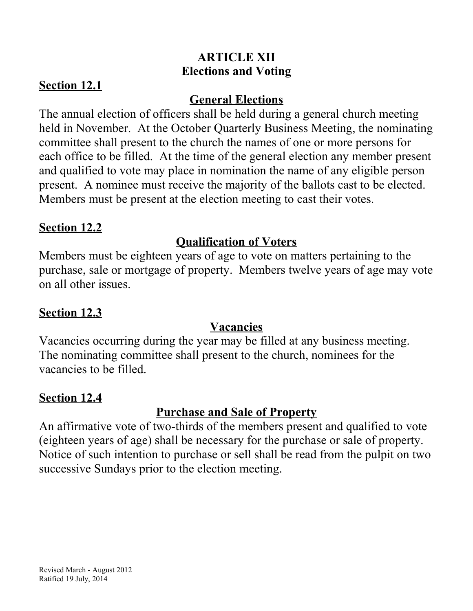### **ARTICLE XII Elections and Voting**

### **Section 12.1**

### **General Elections**

The annual election of officers shall be held during a general church meeting held in November. At the October Quarterly Business Meeting, the nominating committee shall present to the church the names of one or more persons for each office to be filled. At the time of the general election any member present and qualified to vote may place in nomination the name of any eligible person present. A nominee must receive the majority of the ballots cast to be elected. Members must be present at the election meeting to cast their votes.

### **Section 12.2**

## **Qualification of Voters**

Members must be eighteen years of age to vote on matters pertaining to the purchase, sale or mortgage of property. Members twelve years of age may vote on all other issues.

### **Section 12.3**

### **Vacancies**

Vacancies occurring during the year may be filled at any business meeting. The nominating committee shall present to the church, nominees for the vacancies to be filled.

### **Section 12.4**

# **Purchase and Sale of Property**

An affirmative vote of two-thirds of the members present and qualified to vote (eighteen years of age) shall be necessary for the purchase or sale of property. Notice of such intention to purchase or sell shall be read from the pulpit on two successive Sundays prior to the election meeting.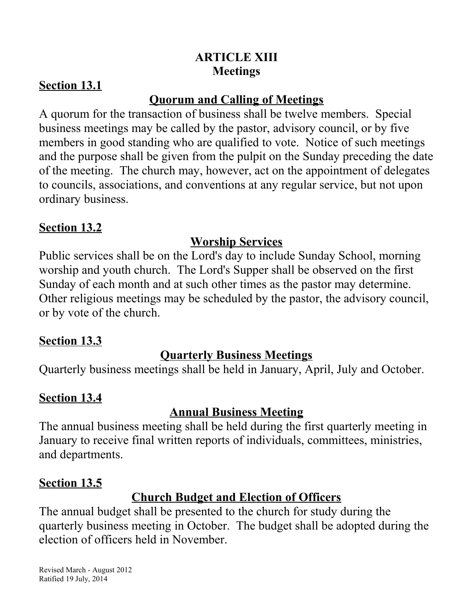### **ARTICLE XIII Meetings**

### **Section 13.1**

### **Quorum and Calling of Meetings**

A quorum for the transaction of business shall be twelve members. Special business meetings may be called by the pastor, advisory council, or by five members in good standing who are qualified to vote. Notice of such meetings and the purpose shall be given from the pulpit on the Sunday preceding the date of the meeting. The church may, however, act on the appointment of delegates to councils, associations, and conventions at any regular service, but not upon ordinary business.

### **Section 13.2**

## **Worship Services**

Public services shall be on the Lord's day to include Sunday School, morning worship and youth church. The Lord's Supper shall be observed on the first Sunday of each month and at such other times as the pastor may determine. Other religious meetings may be scheduled by the pastor, the advisory council, or by vote of the church.

### **Section 13.3**

### **Quarterly Business Meetings**

Quarterly business meetings shall be held in January, April, July and October.

### **Section 13.4**

# **Annual Business Meeting**

The annual business meeting shall be held during the first quarterly meeting in January to receive final written reports of individuals, committees, ministries, and departments.

### **Section 13.5**

# **Church Budget and Election of Officers**

The annual budget shall be presented to the church for study during the quarterly business meeting in October. The budget shall be adopted during the election of officers held in November.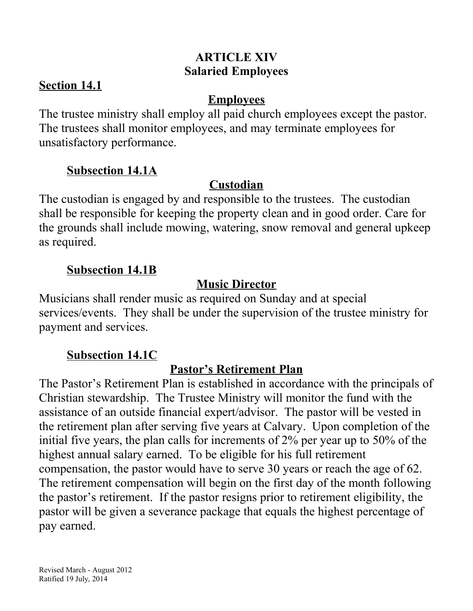### **ARTICLE XIV Salaried Employees**

### **Section 14.1**

### **Employees**

The trustee ministry shall employ all paid church employees except the pastor. The trustees shall monitor employees, and may terminate employees for unsatisfactory performance.

### **Subsection 14.1A**

### **Custodian**

The custodian is engaged by and responsible to the trustees. The custodian shall be responsible for keeping the property clean and in good order. Care for the grounds shall include mowing, watering, snow removal and general upkeep as required.

### **Subsection 14.1B**

## **Music Director**

Musicians shall render music as required on Sunday and at special services/events. They shall be under the supervision of the trustee ministry for payment and services.

### **Subsection 14.1C**

# **Pastor's Retirement Plan**

The Pastor's Retirement Plan is established in accordance with the principals of Christian stewardship. The Trustee Ministry will monitor the fund with the assistance of an outside financial expert/advisor. The pastor will be vested in the retirement plan after serving five years at Calvary. Upon completion of the initial five years, the plan calls for increments of 2% per year up to 50% of the highest annual salary earned. To be eligible for his full retirement compensation, the pastor would have to serve 30 years or reach the age of 62. The retirement compensation will begin on the first day of the month following the pastor's retirement. If the pastor resigns prior to retirement eligibility, the pastor will be given a severance package that equals the highest percentage of pay earned.